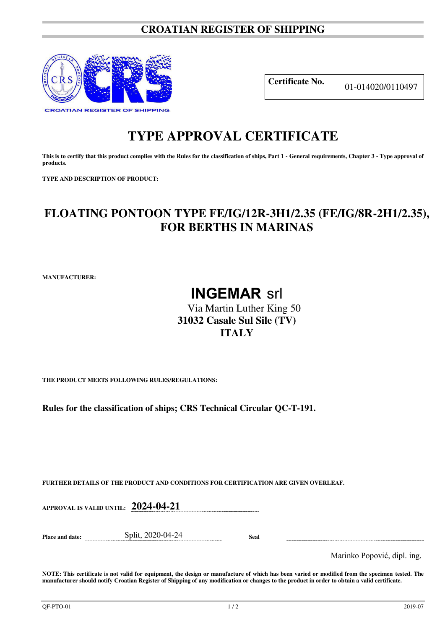### **CROATIAN REGISTER OF SHIPPING**



**Certificate No.** 01-014020/0110497

## **TYPE APPROVAL CERTIFICATE**

This is to certify that this product complies with the Rules for the classification of ships, Part 1 - General requirements, Chapter 3 - Type approval of **products.** 

**TYPE AND DESCRIPTION OF PRODUCT:** 

## **FLOATING PONTOON TYPE FE/IG/12R-3H1/2.35 (FE/IG/8R-2H1/2.35), FOR BERTHS IN MARINAS**

**MANUFACTURER:**

# **INGEMAR** srl

### Via Martin Luther King 50 **31032 Casale Sul Sile (TV) ITALY**

**THE PRODUCT MEETS FOLLOWING RULES/REGULATIONS:**

**Rules for the classification of ships; CRS Technical Circular QC-T-191.** 

**FURTHER DETAILS OF THE PRODUCT AND CONDITIONS FOR CERTIFICATION ARE GIVEN OVERLEAF.**

**APPROVAL IS VALID UNTIL: 2024-04-21**

**Place and date:** Split, 2020-04-24 **Seal** 

Marinko Popović, dipl. ing.

**NOTE: This certificate is not valid for equipment, the design or manufacture of which has been varied or modified from the specimen tested. The manufacturer should notify Croatian Register of Shipping of any modification or changes to the product in order to obtain a valid certificate.**